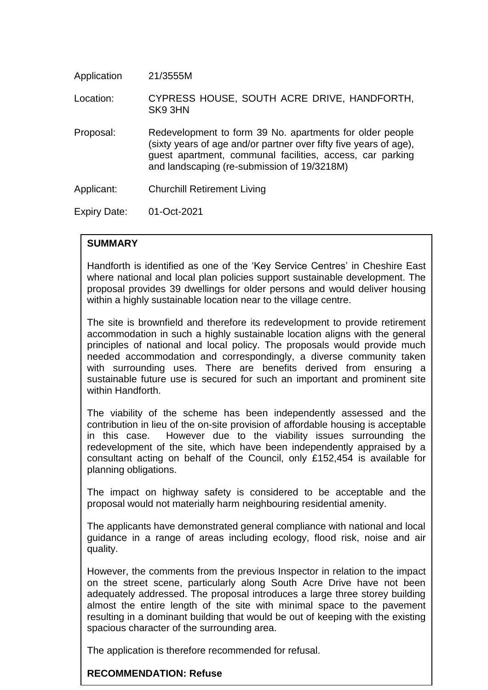| Application  | 21/3555M                                                                                                                                                                                                                                  |
|--------------|-------------------------------------------------------------------------------------------------------------------------------------------------------------------------------------------------------------------------------------------|
| Location:    | CYPRESS HOUSE, SOUTH ACRE DRIVE, HANDFORTH,<br>SK93HN                                                                                                                                                                                     |
| Proposal:    | Redevelopment to form 39 No. apartments for older people<br>(sixty years of age and/or partner over fifty five years of age),<br>guest apartment, communal facilities, access, car parking<br>and landscaping (re-submission of 19/3218M) |
| Applicant:   | <b>Churchill Retirement Living</b>                                                                                                                                                                                                        |
| Expiry Date: | $01 - \frac{Ct - 2021}{T}$                                                                                                                                                                                                                |

# **SUMMARY**

Handforth is identified as one of the 'Key Service Centres' in Cheshire East where national and local plan policies support sustainable development. The proposal provides 39 dwellings for older persons and would deliver housing within a highly sustainable location near to the village centre.

The site is brownfield and therefore its redevelopment to provide retirement accommodation in such a highly sustainable location aligns with the general principles of national and local policy. The proposals would provide much needed accommodation and correspondingly, a diverse community taken with surrounding uses. There are benefits derived from ensuring a sustainable future use is secured for such an important and prominent site within Handforth.

The viability of the scheme has been independently assessed and the contribution in lieu of the on-site provision of affordable housing is acceptable in this case. However due to the viability issues surrounding the redevelopment of the site, which have been independently appraised by a consultant acting on behalf of the Council, only £152,454 is available for planning obligations.

The impact on highway safety is considered to be acceptable and the proposal would not materially harm neighbouring residential amenity.

The applicants have demonstrated general compliance with national and local guidance in a range of areas including ecology, flood risk, noise and air quality.

However, the comments from the previous Inspector in relation to the impact on the street scene, particularly along South Acre Drive have not been adequately addressed. The proposal introduces a large three storey building almost the entire length of the site with minimal space to the pavement resulting in a dominant building that would be out of keeping with the existing spacious character of the surrounding area.

The application is therefore recommended for refusal.

# **RECOMMENDATION: Refuse**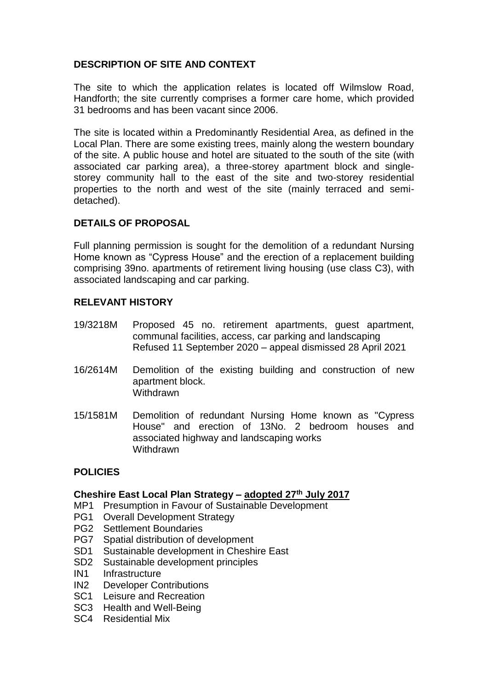# **DESCRIPTION OF SITE AND CONTEXT**

The site to which the application relates is located off Wilmslow Road, Handforth; the site currently comprises a former care home, which provided 31 bedrooms and has been vacant since 2006.

The site is located within a Predominantly Residential Area, as defined in the Local Plan. There are some existing trees, mainly along the western boundary of the site. A public house and hotel are situated to the south of the site (with associated car parking area), a three-storey apartment block and singlestorey community hall to the east of the site and two-storey residential properties to the north and west of the site (mainly terraced and semidetached).

# **DETAILS OF PROPOSAL**

Full planning permission is sought for the demolition of a redundant Nursing Home known as "Cypress House" and the erection of a replacement building comprising 39no. apartments of retirement living housing (use class C3), with associated landscaping and car parking.

# **RELEVANT HISTORY**

- 19/3218M Proposed 45 no. retirement apartments, guest apartment, communal facilities, access, car parking and landscaping Refused 11 September 2020 – appeal dismissed 28 April 2021
- 16/2614M Demolition of the existing building and construction of new apartment block. **Withdrawn**
- 15/1581M Demolition of redundant Nursing Home known as "Cypress House" and erection of 13No. 2 bedroom houses and associated highway and landscaping works **Withdrawn**

# **POLICIES**

# **Cheshire East Local Plan Strategy – adopted 27th July 2017**

- MP1 Presumption in Favour of Sustainable Development
- PG1 Overall Development Strategy
- PG2 Settlement Boundaries
- PG7 Spatial distribution of development
- SD1 Sustainable development in Cheshire East
- SD2 Sustainable development principles
- IN1 Infrastructure
- IN2 Developer Contributions
- SC1 Leisure and Recreation
- SC3 Health and Well-Being
- SC4 Residential Mix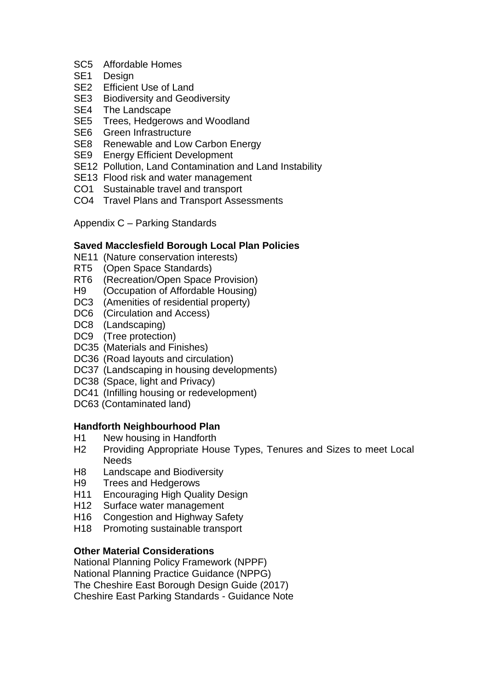- SC5 Affordable Homes
- SE1 Design
- SE2 Efficient Use of Land
- SE3 Biodiversity and Geodiversity
- SE4 The Landscape
- SE5 Trees, Hedgerows and Woodland
- SE6 Green Infrastructure
- SE8 Renewable and Low Carbon Energy
- SE9 Energy Efficient Development
- SE12 Pollution, Land Contamination and Land Instability
- SE13 Flood risk and water management
- CO1 Sustainable travel and transport
- CO4 Travel Plans and Transport Assessments

Appendix C – Parking Standards

# **Saved Macclesfield Borough Local Plan Policies**

- NE11 (Nature conservation interests)
- RT5 (Open Space Standards)
- RT6 (Recreation/Open Space Provision)
- H9 (Occupation of Affordable Housing)
- DC3 (Amenities of residential property)
- DC6 (Circulation and Access)
- DC8 (Landscaping)
- DC9 (Tree protection)
- DC35 (Materials and Finishes)
- DC36 (Road layouts and circulation)
- DC37 (Landscaping in housing developments)
- DC38 (Space, light and Privacy)
- DC41 (Infilling housing or redevelopment)
- DC63 (Contaminated land)

# **Handforth Neighbourhood Plan**

- H1 New housing in Handforth
- H2 Providing Appropriate House Types, Tenures and Sizes to meet Local **Needs**
- H8 Landscape and Biodiversity
- H9 Trees and Hedgerows
- H11 Encouraging High Quality Design
- H12 Surface water management
- H16 Congestion and Highway Safety
- H18 Promoting sustainable transport

# **Other Material Considerations**

National Planning Policy Framework (NPPF) National Planning Practice Guidance (NPPG) The Cheshire East Borough Design Guide (2017) Cheshire East Parking Standards - Guidance Note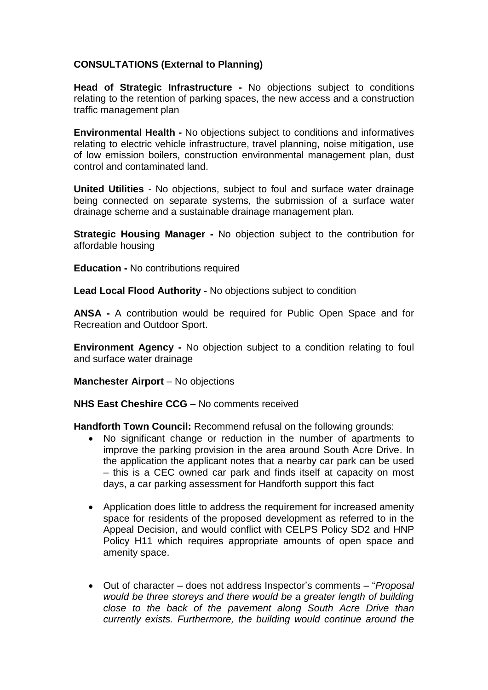# **CONSULTATIONS (External to Planning)**

**Head of Strategic Infrastructure -** No objections subject to conditions relating to the retention of parking spaces, the new access and a construction traffic management plan

**Environmental Health -** No objections subject to conditions and informatives relating to electric vehicle infrastructure, travel planning, noise mitigation, use of low emission boilers, construction environmental management plan, dust control and contaminated land.

**United Utilities** - No objections, subject to foul and surface water drainage being connected on separate systems, the submission of a surface water drainage scheme and a sustainable drainage management plan.

**Strategic Housing Manager -** No objection subject to the contribution for affordable housing

**Education -** No contributions required

**Lead Local Flood Authority -** No objections subject to condition

**ANSA -** A contribution would be required for Public Open Space and for Recreation and Outdoor Sport.

**Environment Agency -** No objection subject to a condition relating to foul and surface water drainage

**Manchester Airport** – No objections

**NHS East Cheshire CCG** – No comments received

**Handforth Town Council:** Recommend refusal on the following grounds:

- No significant change or reduction in the number of apartments to improve the parking provision in the area around South Acre Drive. In the application the applicant notes that a nearby car park can be used – this is a CEC owned car park and finds itself at capacity on most days, a car parking assessment for Handforth support this fact
- Application does little to address the requirement for increased amenity space for residents of the proposed development as referred to in the Appeal Decision, and would conflict with CELPS Policy SD2 and HNP Policy H11 which requires appropriate amounts of open space and amenity space.
- Out of character does not address Inspector's comments "*Proposal would be three storeys and there would be a greater length of building close to the back of the pavement along South Acre Drive than currently exists. Furthermore, the building would continue around the*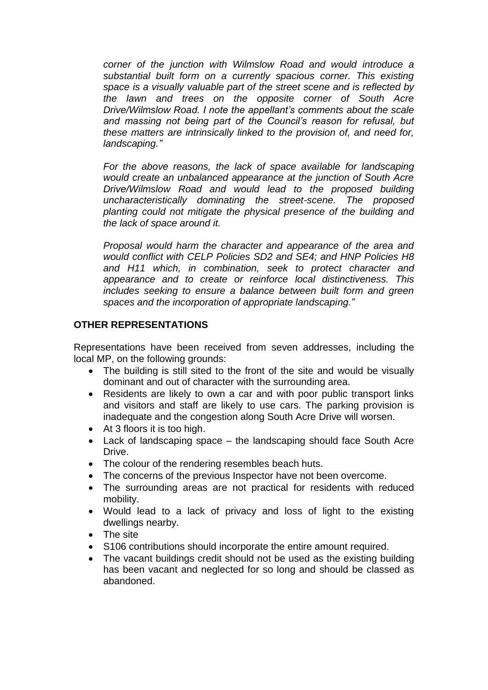*corner of the junction with Wilmslow Road and would introduce a substantial built form on a currently spacious corner. This existing space is a visually valuable part of the street scene and is reflected by the lawn and trees on the opposite corner of South Acre Drive/Wilmslow Road. I note the appellant's comments about the scale and massing not being part of the Council's reason for refusal, but these matters are intrinsically linked to the provision of, and need for, landscaping."*

*For the above reasons, the lack of space available for landscaping would create an unbalanced appearance at the junction of South Acre Drive/Wilmslow Road and would lead to the proposed building uncharacteristically dominating the street-scene. The proposed planting could not mitigate the physical presence of the building and the lack of space around it.* 

*Proposal would harm the character and appearance of the area and would conflict with CELP Policies SD2 and SE4; and HNP Policies H8 and H11 which, in combination, seek to protect character and appearance and to create or reinforce local distinctiveness. This includes seeking to ensure a balance between built form and green spaces and the incorporation of appropriate landscaping."*

# **OTHER REPRESENTATIONS**

Representations have been received from seven addresses, including the local MP, on the following grounds:

- The building is still sited to the front of the site and would be visually dominant and out of character with the surrounding area.
- Residents are likely to own a car and with poor public transport links and visitors and staff are likely to use cars. The parking provision is inadequate and the congestion along South Acre Drive will worsen.
- At 3 floors it is too high.
- Lack of landscaping space the landscaping should face South Acre Drive.
- The colour of the rendering resembles beach huts.
- The concerns of the previous Inspector have not been overcome.
- The surrounding areas are not practical for residents with reduced mobility.
- Would lead to a lack of privacy and loss of light to the existing dwellings nearby.
- The site
- S106 contributions should incorporate the entire amount required.
- The vacant buildings credit should not be used as the existing building has been vacant and neglected for so long and should be classed as abandoned.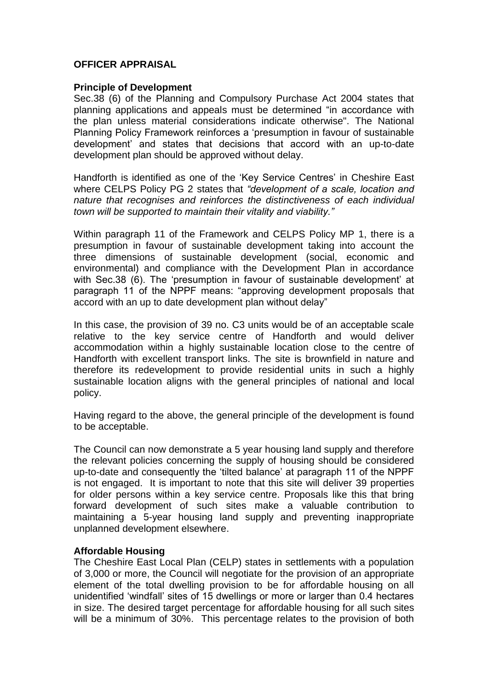# **OFFICER APPRAISAL**

#### **Principle of Development**

Sec.38 (6) of the Planning and Compulsory Purchase Act 2004 states that planning applications and appeals must be determined "in accordance with the plan unless material considerations indicate otherwise". The National Planning Policy Framework reinforces a 'presumption in favour of sustainable development' and states that decisions that accord with an up-to-date development plan should be approved without delay.

Handforth is identified as one of the 'Key Service Centres' in Cheshire East where CELPS Policy PG 2 states that *"development of a scale, location and nature that recognises and reinforces the distinctiveness of each individual town will be supported to maintain their vitality and viability."*

Within paragraph 11 of the Framework and CELPS Policy MP 1, there is a presumption in favour of sustainable development taking into account the three dimensions of sustainable development (social, economic and environmental) and compliance with the Development Plan in accordance with Sec.38 (6). The 'presumption in favour of sustainable development' at paragraph 11 of the NPPF means: "approving development proposals that accord with an up to date development plan without delay"

In this case, the provision of 39 no. C3 units would be of an acceptable scale relative to the key service centre of Handforth and would deliver accommodation within a highly sustainable location close to the centre of Handforth with excellent transport links. The site is brownfield in nature and therefore its redevelopment to provide residential units in such a highly sustainable location aligns with the general principles of national and local policy.

Having regard to the above, the general principle of the development is found to be acceptable.

The Council can now demonstrate a 5 year housing land supply and therefore the relevant policies concerning the supply of housing should be considered up-to-date and consequently the 'tilted balance' at paragraph 11 of the NPPF is not engaged. It is important to note that this site will deliver 39 properties for older persons within a key service centre. Proposals like this that bring forward development of such sites make a valuable contribution to maintaining a 5-year housing land supply and preventing inappropriate unplanned development elsewhere.

### **Affordable Housing**

The Cheshire East Local Plan (CELP) states in settlements with a population of 3,000 or more, the Council will negotiate for the provision of an appropriate element of the total dwelling provision to be for affordable housing on all unidentified 'windfall' sites of 15 dwellings or more or larger than 0.4 hectares in size. The desired target percentage for affordable housing for all such sites will be a minimum of 30%. This percentage relates to the provision of both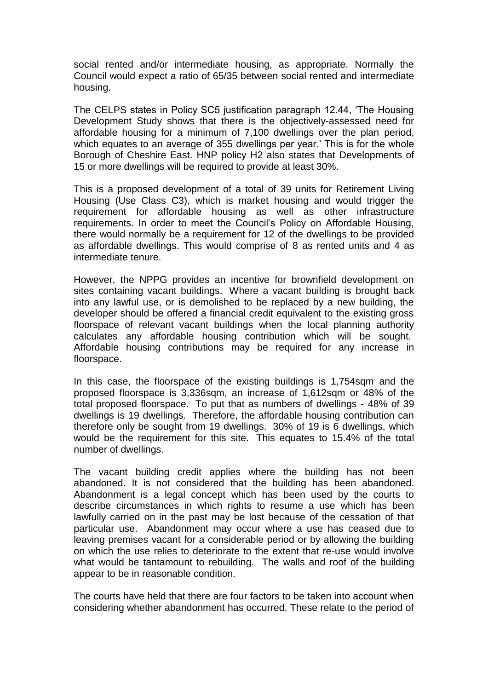social rented and/or intermediate housing, as appropriate. Normally the Council would expect a ratio of 65/35 between social rented and intermediate housing.

The CELPS states in Policy SC5 justification paragraph 12.44, 'The Housing Development Study shows that there is the objectively-assessed need for affordable housing for a minimum of 7,100 dwellings over the plan period, which equates to an average of 355 dwellings per year.' This is for the whole Borough of Cheshire East. HNP policy H2 also states that Developments of 15 or more dwellings will be required to provide at least 30%.

This is a proposed development of a total of 39 units for Retirement Living Housing (Use Class C3), which is market housing and would trigger the requirement for affordable housing as well as other infrastructure requirements. In order to meet the Council's Policy on Affordable Housing, there would normally be a requirement for 12 of the dwellings to be provided as affordable dwellings. This would comprise of 8 as rented units and 4 as intermediate tenure.

However, the NPPG provides an incentive for brownfield development on sites containing vacant buildings. Where a vacant building is brought back into any lawful use, or is demolished to be replaced by a new building, the developer should be offered a financial credit equivalent to the existing gross floorspace of relevant vacant buildings when the local planning authority calculates any affordable housing contribution which will be sought. Affordable housing contributions may be required for any increase in floorspace.

In this case, the floorspace of the existing buildings is 1,754 sqm and the proposed floorspace is 3,336sqm, an increase of 1,612sqm or 48% of the total proposed floorspace. To put that as numbers of dwellings - 48% of 39 dwellings is 19 dwellings. Therefore, the affordable housing contribution can therefore only be sought from 19 dwellings. 30% of 19 is 6 dwellings, which would be the requirement for this site. This equates to 15.4% of the total number of dwellings.

The vacant building credit applies where the building has not been abandoned. It is not considered that the building has been abandoned. Abandonment is a legal concept which has been used by the courts to describe circumstances in which rights to resume a use which has been lawfully carried on in the past may be lost because of the cessation of that particular use. Abandonment may occur where a use has ceased due to leaving premises vacant for a considerable period or by allowing the building on which the use relies to deteriorate to the extent that re-use would involve what would be tantamount to rebuilding. The walls and roof of the building appear to be in reasonable condition.

The courts have held that there are four factors to be taken into account when considering whether abandonment has occurred. These relate to the period of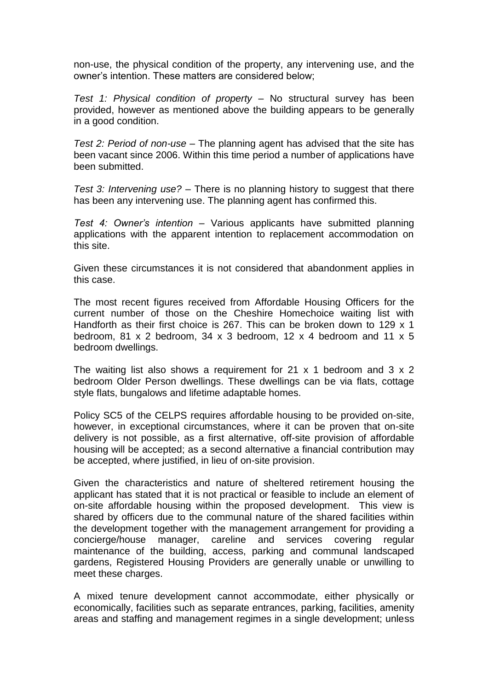non-use, the physical condition of the property, any intervening use, and the owner's intention. These matters are considered below;

*Test 1: Physical condition of property –* No structural survey has been provided, however as mentioned above the building appears to be generally in a good condition.

*Test 2: Period of non-use –* The planning agent has advised that the site has been vacant since 2006. Within this time period a number of applications have been submitted.

*Test 3: Intervening use? –* There is no planning history to suggest that there has been any intervening use. The planning agent has confirmed this.

*Test 4: Owner's intention –* Various applicants have submitted planning applications with the apparent intention to replacement accommodation on this site.

Given these circumstances it is not considered that abandonment applies in this case.

The most recent figures received from Affordable Housing Officers for the current number of those on the Cheshire Homechoice waiting list with Handforth as their first choice is 267. This can be broken down to 129 x 1 bedroom, 81 x 2 bedroom, 34 x 3 bedroom, 12 x 4 bedroom and 11 x 5 bedroom dwellings.

The waiting list also shows a requirement for 21  $\times$  1 bedroom and 3  $\times$  2 bedroom Older Person dwellings. These dwellings can be via flats, cottage style flats, bungalows and lifetime adaptable homes.

Policy SC5 of the CELPS requires affordable housing to be provided on-site, however, in exceptional circumstances, where it can be proven that on-site delivery is not possible, as a first alternative, off-site provision of affordable housing will be accepted; as a second alternative a financial contribution may be accepted, where justified, in lieu of on-site provision.

Given the characteristics and nature of sheltered retirement housing the applicant has stated that it is not practical or feasible to include an element of on-site affordable housing within the proposed development. This view is shared by officers due to the communal nature of the shared facilities within the development together with the management arrangement for providing a concierge/house manager, careline and services covering regular maintenance of the building, access, parking and communal landscaped gardens, Registered Housing Providers are generally unable or unwilling to meet these charges.

A mixed tenure development cannot accommodate, either physically or economically, facilities such as separate entrances, parking, facilities, amenity areas and staffing and management regimes in a single development; unless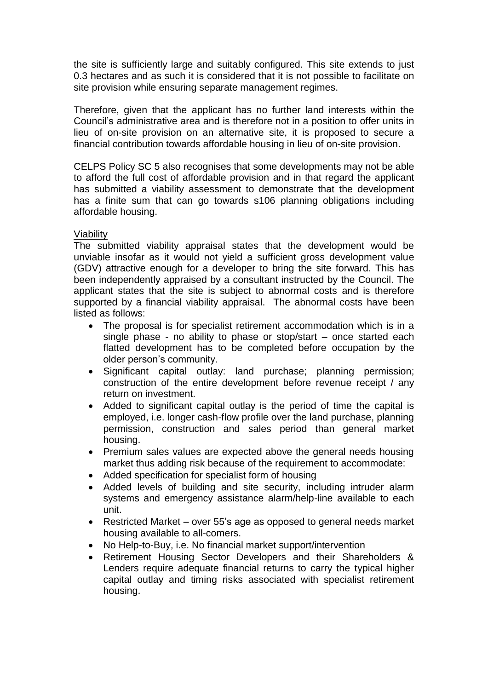the site is sufficiently large and suitably configured. This site extends to just 0.3 hectares and as such it is considered that it is not possible to facilitate on site provision while ensuring separate management regimes.

Therefore, given that the applicant has no further land interests within the Council's administrative area and is therefore not in a position to offer units in lieu of on-site provision on an alternative site, it is proposed to secure a financial contribution towards affordable housing in lieu of on-site provision.

CELPS Policy SC 5 also recognises that some developments may not be able to afford the full cost of affordable provision and in that regard the applicant has submitted a viability assessment to demonstrate that the development has a finite sum that can go towards s106 planning obligations including affordable housing.

# Viability

The submitted viability appraisal states that the development would be unviable insofar as it would not yield a sufficient gross development value (GDV) attractive enough for a developer to bring the site forward. This has been independently appraised by a consultant instructed by the Council. The applicant states that the site is subject to abnormal costs and is therefore supported by a financial viability appraisal. The abnormal costs have been listed as follows:

- The proposal is for specialist retirement accommodation which is in a single phase - no ability to phase or stop/start – once started each flatted development has to be completed before occupation by the older person's community.
- Significant capital outlay: land purchase; planning permission; construction of the entire development before revenue receipt / any return on investment.
- Added to significant capital outlay is the period of time the capital is employed, i.e. longer cash-flow profile over the land purchase, planning permission, construction and sales period than general market housing.
- Premium sales values are expected above the general needs housing market thus adding risk because of the requirement to accommodate:
- Added specification for specialist form of housing
- Added levels of building and site security, including intruder alarm systems and emergency assistance alarm/help-line available to each unit.
- Restricted Market over 55's age as opposed to general needs market housing available to all-comers.
- No Help-to-Buy, i.e. No financial market support/intervention
- Retirement Housing Sector Developers and their Shareholders & Lenders require adequate financial returns to carry the typical higher capital outlay and timing risks associated with specialist retirement housing.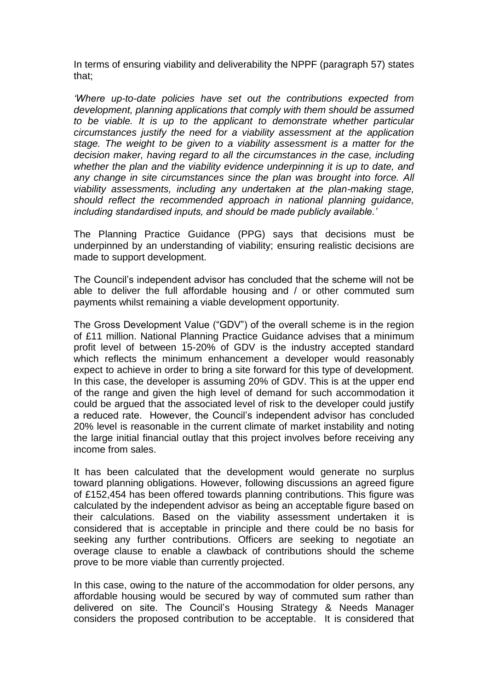In terms of ensuring viability and deliverability the NPPF (paragraph 57) states that;

*'Where up-to-date policies have set out the contributions expected from development, planning applications that comply with them should be assumed to be viable. It is up to the applicant to demonstrate whether particular circumstances justify the need for a viability assessment at the application stage. The weight to be given to a viability assessment is a matter for the decision maker, having regard to all the circumstances in the case, including whether the plan and the viability evidence underpinning it is up to date, and any change in site circumstances since the plan was brought into force. All viability assessments, including any undertaken at the plan-making stage, should reflect the recommended approach in national planning guidance, including standardised inputs, and should be made publicly available.'*

The Planning Practice Guidance (PPG) says that decisions must be underpinned by an understanding of viability; ensuring realistic decisions are made to support development.

The Council's independent advisor has concluded that the scheme will not be able to deliver the full affordable housing and / or other commuted sum payments whilst remaining a viable development opportunity.

The Gross Development Value ("GDV") of the overall scheme is in the region of £11 million. National Planning Practice Guidance advises that a minimum profit level of between 15-20% of GDV is the industry accepted standard which reflects the minimum enhancement a developer would reasonably expect to achieve in order to bring a site forward for this type of development. In this case, the developer is assuming 20% of GDV. This is at the upper end of the range and given the high level of demand for such accommodation it could be argued that the associated level of risk to the developer could justify a reduced rate. However, the Council's independent advisor has concluded 20% level is reasonable in the current climate of market instability and noting the large initial financial outlay that this project involves before receiving any income from sales.

It has been calculated that the development would generate no surplus toward planning obligations. However, following discussions an agreed figure of £152,454 has been offered towards planning contributions. This figure was calculated by the independent advisor as being an acceptable figure based on their calculations. Based on the viability assessment undertaken it is considered that is acceptable in principle and there could be no basis for seeking any further contributions. Officers are seeking to negotiate an overage clause to enable a clawback of contributions should the scheme prove to be more viable than currently projected.

In this case, owing to the nature of the accommodation for older persons, any affordable housing would be secured by way of commuted sum rather than delivered on site. The Council's Housing Strategy & Needs Manager considers the proposed contribution to be acceptable. It is considered that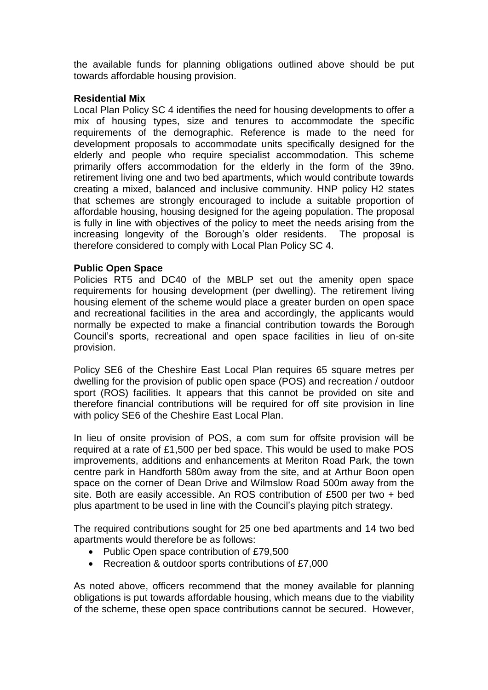the available funds for planning obligations outlined above should be put towards affordable housing provision.

# **Residential Mix**

Local Plan Policy SC 4 identifies the need for housing developments to offer a mix of housing types, size and tenures to accommodate the specific requirements of the demographic. Reference is made to the need for development proposals to accommodate units specifically designed for the elderly and people who require specialist accommodation. This scheme primarily offers accommodation for the elderly in the form of the 39no. retirement living one and two bed apartments, which would contribute towards creating a mixed, balanced and inclusive community. HNP policy H2 states that schemes are strongly encouraged to include a suitable proportion of affordable housing, housing designed for the ageing population. The proposal is fully in line with objectives of the policy to meet the needs arising from the increasing longevity of the Borough's older residents. The proposal is therefore considered to comply with Local Plan Policy SC 4.

# **Public Open Space**

Policies RT5 and DC40 of the MBLP set out the amenity open space requirements for housing development (per dwelling). The retirement living housing element of the scheme would place a greater burden on open space and recreational facilities in the area and accordingly, the applicants would normally be expected to make a financial contribution towards the Borough Council's sports, recreational and open space facilities in lieu of on-site provision.

Policy SE6 of the Cheshire East Local Plan requires 65 square metres per dwelling for the provision of public open space (POS) and recreation / outdoor sport (ROS) facilities. It appears that this cannot be provided on site and therefore financial contributions will be required for off site provision in line with policy SE6 of the Cheshire East Local Plan.

In lieu of onsite provision of POS, a com sum for offsite provision will be required at a rate of £1,500 per bed space. This would be used to make POS improvements, additions and enhancements at Meriton Road Park, the town centre park in Handforth 580m away from the site, and at Arthur Boon open space on the corner of Dean Drive and Wilmslow Road 500m away from the site. Both are easily accessible. An ROS contribution of £500 per two + bed plus apartment to be used in line with the Council's playing pitch strategy.

The required contributions sought for 25 one bed apartments and 14 two bed apartments would therefore be as follows:

- Public Open space contribution of £79,500
- Recreation & outdoor sports contributions of £7,000

As noted above, officers recommend that the money available for planning obligations is put towards affordable housing, which means due to the viability of the scheme, these open space contributions cannot be secured. However,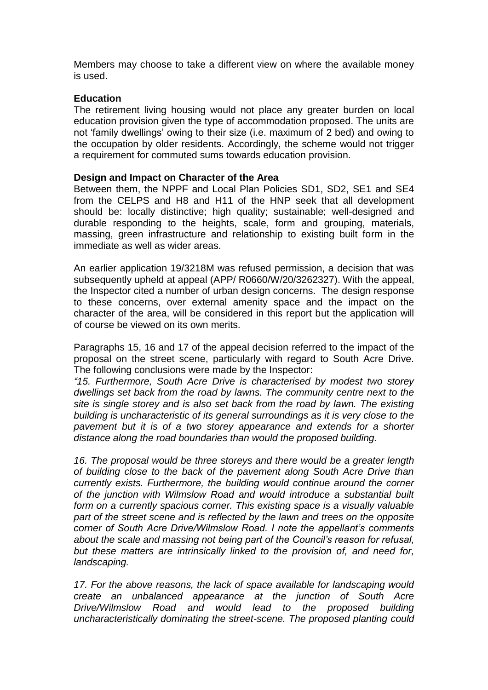Members may choose to take a different view on where the available money is used.

### **Education**

The retirement living housing would not place any greater burden on local education provision given the type of accommodation proposed. The units are not 'family dwellings' owing to their size (i.e. maximum of 2 bed) and owing to the occupation by older residents. Accordingly, the scheme would not trigger a requirement for commuted sums towards education provision.

### **Design and Impact on Character of the Area**

Between them, the NPPF and Local Plan Policies SD1, SD2, SE1 and SE4 from the CELPS and H8 and H11 of the HNP seek that all development should be: locally distinctive; high quality; sustainable; well-designed and durable responding to the heights, scale, form and grouping, materials, massing, green infrastructure and relationship to existing built form in the immediate as well as wider areas.

An earlier application 19/3218M was refused permission, a decision that was subsequently upheld at appeal (APP/ R0660/W/20/3262327). With the appeal, the Inspector cited a number of urban design concerns. The design response to these concerns, over external amenity space and the impact on the character of the area, will be considered in this report but the application will of course be viewed on its own merits.

Paragraphs 15, 16 and 17 of the appeal decision referred to the impact of the proposal on the street scene, particularly with regard to South Acre Drive. The following conclusions were made by the Inspector:

*"15. Furthermore, South Acre Drive is characterised by modest two storey dwellings set back from the road by lawns. The community centre next to the site is single storey and is also set back from the road by lawn. The existing building is uncharacteristic of its general surroundings as it is very close to the pavement but it is of a two storey appearance and extends for a shorter distance along the road boundaries than would the proposed building.* 

*16. The proposal would be three storeys and there would be a greater length of building close to the back of the pavement along South Acre Drive than currently exists. Furthermore, the building would continue around the corner of the junction with Wilmslow Road and would introduce a substantial built form on a currently spacious corner. This existing space is a visually valuable part of the street scene and is reflected by the lawn and trees on the opposite corner of South Acre Drive/Wilmslow Road. I note the appellant's comments about the scale and massing not being part of the Council's reason for refusal, but these matters are intrinsically linked to the provision of, and need for, landscaping.* 

*17. For the above reasons, the lack of space available for landscaping would create an unbalanced appearance at the junction of South Acre Drive/Wilmslow Road and would lead to the proposed building uncharacteristically dominating the street-scene. The proposed planting could*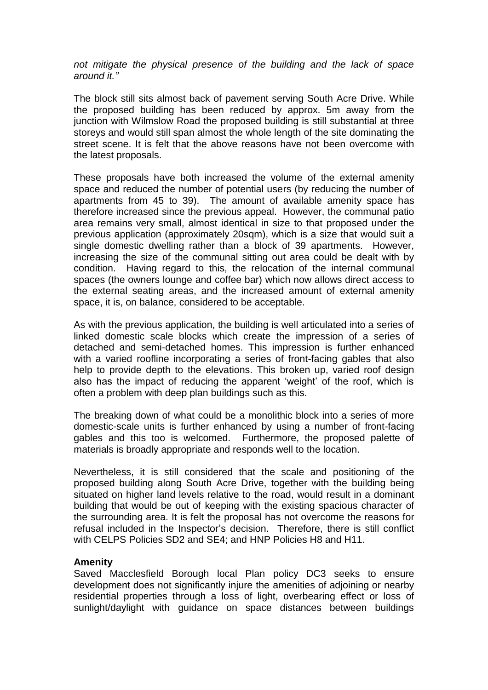*not mitigate the physical presence of the building and the lack of space around it."*

The block still sits almost back of pavement serving South Acre Drive. While the proposed building has been reduced by approx. 5m away from the junction with Wilmslow Road the proposed building is still substantial at three storeys and would still span almost the whole length of the site dominating the street scene. It is felt that the above reasons have not been overcome with the latest proposals.

These proposals have both increased the volume of the external amenity space and reduced the number of potential users (by reducing the number of apartments from 45 to 39). The amount of available amenity space has therefore increased since the previous appeal. However, the communal patio area remains very small, almost identical in size to that proposed under the previous application (approximately 20sqm), which is a size that would suit a single domestic dwelling rather than a block of 39 apartments. However, increasing the size of the communal sitting out area could be dealt with by condition. Having regard to this, the relocation of the internal communal spaces (the owners lounge and coffee bar) which now allows direct access to the external seating areas, and the increased amount of external amenity space, it is, on balance, considered to be acceptable.

As with the previous application, the building is well articulated into a series of linked domestic scale blocks which create the impression of a series of detached and semi-detached homes. This impression is further enhanced with a varied roofline incorporating a series of front-facing gables that also help to provide depth to the elevations. This broken up, varied roof design also has the impact of reducing the apparent 'weight' of the roof, which is often a problem with deep plan buildings such as this.

The breaking down of what could be a monolithic block into a series of more domestic-scale units is further enhanced by using a number of front-facing gables and this too is welcomed. Furthermore, the proposed palette of materials is broadly appropriate and responds well to the location.

Nevertheless, it is still considered that the scale and positioning of the proposed building along South Acre Drive, together with the building being situated on higher land levels relative to the road, would result in a dominant building that would be out of keeping with the existing spacious character of the surrounding area. It is felt the proposal has not overcome the reasons for refusal included in the Inspector's decision. Therefore, there is still conflict with CELPS Policies SD2 and SE4; and HNP Policies H8 and H11.

#### **Amenity**

Saved Macclesfield Borough local Plan policy DC3 seeks to ensure development does not significantly injure the amenities of adjoining or nearby residential properties through a loss of light, overbearing effect or loss of sunlight/daylight with guidance on space distances between buildings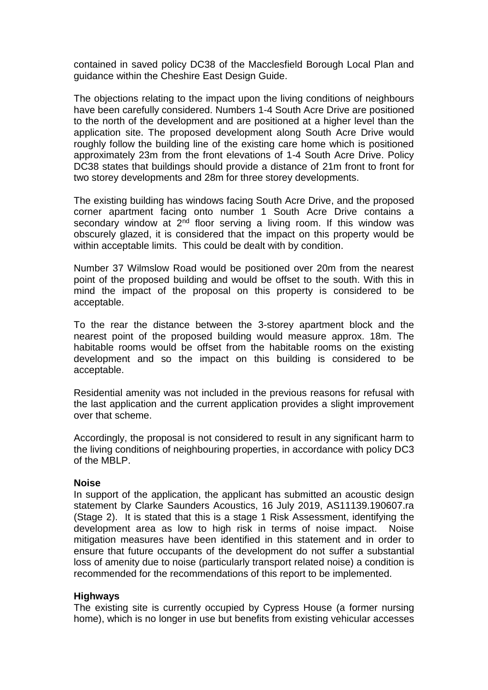contained in saved policy DC38 of the Macclesfield Borough Local Plan and guidance within the Cheshire East Design Guide.

The objections relating to the impact upon the living conditions of neighbours have been carefully considered. Numbers 1-4 South Acre Drive are positioned to the north of the development and are positioned at a higher level than the application site. The proposed development along South Acre Drive would roughly follow the building line of the existing care home which is positioned approximately 23m from the front elevations of 1-4 South Acre Drive. Policy DC38 states that buildings should provide a distance of 21m front to front for two storey developments and 28m for three storey developments.

The existing building has windows facing South Acre Drive, and the proposed corner apartment facing onto number 1 South Acre Drive contains a secondary window at  $2<sup>nd</sup>$  floor serving a living room. If this window was obscurely glazed, it is considered that the impact on this property would be within acceptable limits. This could be dealt with by condition.

Number 37 Wilmslow Road would be positioned over 20m from the nearest point of the proposed building and would be offset to the south. With this in mind the impact of the proposal on this property is considered to be acceptable.

To the rear the distance between the 3-storey apartment block and the nearest point of the proposed building would measure approx. 18m. The habitable rooms would be offset from the habitable rooms on the existing development and so the impact on this building is considered to be acceptable.

Residential amenity was not included in the previous reasons for refusal with the last application and the current application provides a slight improvement over that scheme.

Accordingly, the proposal is not considered to result in any significant harm to the living conditions of neighbouring properties, in accordance with policy DC3 of the MBLP.

#### **Noise**

In support of the application, the applicant has submitted an acoustic design statement by Clarke Saunders Acoustics, 16 July 2019, AS11139.190607.ra (Stage 2). It is stated that this is a stage 1 Risk Assessment, identifying the development area as low to high risk in terms of noise impact. Noise mitigation measures have been identified in this statement and in order to ensure that future occupants of the development do not suffer a substantial loss of amenity due to noise (particularly transport related noise) a condition is recommended for the recommendations of this report to be implemented.

# **Highways**

The existing site is currently occupied by Cypress House (a former nursing home), which is no longer in use but benefits from existing vehicular accesses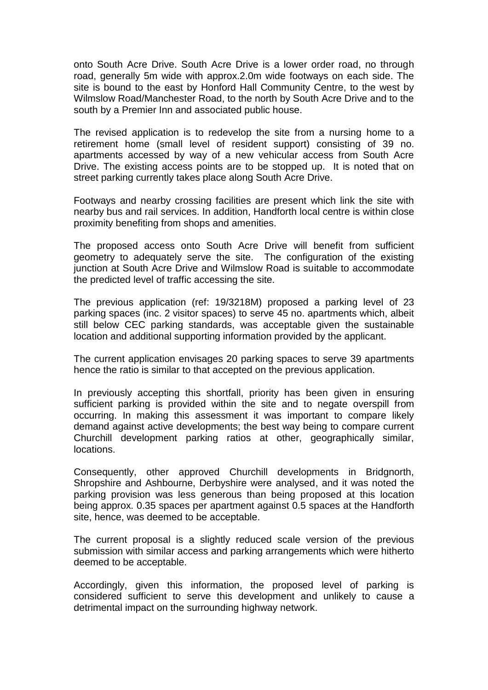onto South Acre Drive. South Acre Drive is a lower order road, no through road, generally 5m wide with approx.2.0m wide footways on each side. The site is bound to the east by Honford Hall Community Centre, to the west by Wilmslow Road/Manchester Road, to the north by South Acre Drive and to the south by a Premier Inn and associated public house.

The revised application is to redevelop the site from a nursing home to a retirement home (small level of resident support) consisting of 39 no. apartments accessed by way of a new vehicular access from South Acre Drive. The existing access points are to be stopped up. It is noted that on street parking currently takes place along South Acre Drive.

Footways and nearby crossing facilities are present which link the site with nearby bus and rail services. In addition, Handforth local centre is within close proximity benefiting from shops and amenities.

The proposed access onto South Acre Drive will benefit from sufficient geometry to adequately serve the site. The configuration of the existing junction at South Acre Drive and Wilmslow Road is suitable to accommodate the predicted level of traffic accessing the site.

The previous application (ref: 19/3218M) proposed a parking level of 23 parking spaces (inc. 2 visitor spaces) to serve 45 no. apartments which, albeit still below CEC parking standards, was acceptable given the sustainable location and additional supporting information provided by the applicant.

The current application envisages 20 parking spaces to serve 39 apartments hence the ratio is similar to that accepted on the previous application.

In previously accepting this shortfall, priority has been given in ensuring sufficient parking is provided within the site and to negate overspill from occurring. In making this assessment it was important to compare likely demand against active developments; the best way being to compare current Churchill development parking ratios at other, geographically similar, locations.

Consequently, other approved Churchill developments in Bridgnorth, Shropshire and Ashbourne, Derbyshire were analysed, and it was noted the parking provision was less generous than being proposed at this location being approx. 0.35 spaces per apartment against 0.5 spaces at the Handforth site, hence, was deemed to be acceptable.

The current proposal is a slightly reduced scale version of the previous submission with similar access and parking arrangements which were hitherto deemed to be acceptable.

Accordingly, given this information, the proposed level of parking is considered sufficient to serve this development and unlikely to cause a detrimental impact on the surrounding highway network.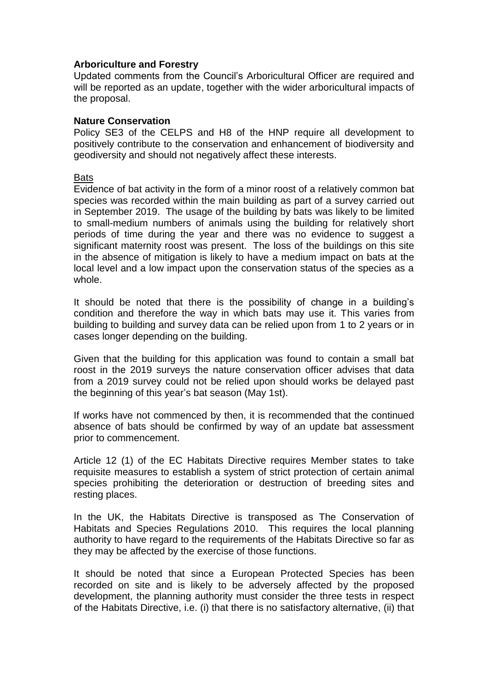### **Arboriculture and Forestry**

Updated comments from the Council's Arboricultural Officer are required and will be reported as an update, together with the wider arboricultural impacts of the proposal.

### **Nature Conservation**

Policy SE3 of the CELPS and H8 of the HNP require all development to positively contribute to the conservation and enhancement of biodiversity and geodiversity and should not negatively affect these interests.

#### **Bats**

Evidence of bat activity in the form of a minor roost of a relatively common bat species was recorded within the main building as part of a survey carried out in September 2019. The usage of the building by bats was likely to be limited to small-medium numbers of animals using the building for relatively short periods of time during the year and there was no evidence to suggest a significant maternity roost was present. The loss of the buildings on this site in the absence of mitigation is likely to have a medium impact on bats at the local level and a low impact upon the conservation status of the species as a whole.

It should be noted that there is the possibility of change in a building's condition and therefore the way in which bats may use it. This varies from building to building and survey data can be relied upon from 1 to 2 years or in cases longer depending on the building.

Given that the building for this application was found to contain a small bat roost in the 2019 surveys the nature conservation officer advises that data from a 2019 survey could not be relied upon should works be delayed past the beginning of this year's bat season (May 1st).

If works have not commenced by then, it is recommended that the continued absence of bats should be confirmed by way of an update bat assessment prior to commencement.

Article 12 (1) of the EC Habitats Directive requires Member states to take requisite measures to establish a system of strict protection of certain animal species prohibiting the deterioration or destruction of breeding sites and resting places.

In the UK, the Habitats Directive is transposed as The Conservation of Habitats and Species Regulations 2010. This requires the local planning authority to have regard to the requirements of the Habitats Directive so far as they may be affected by the exercise of those functions.

It should be noted that since a European Protected Species has been recorded on site and is likely to be adversely affected by the proposed development, the planning authority must consider the three tests in respect of the Habitats Directive, i.e. (i) that there is no satisfactory alternative, (ii) that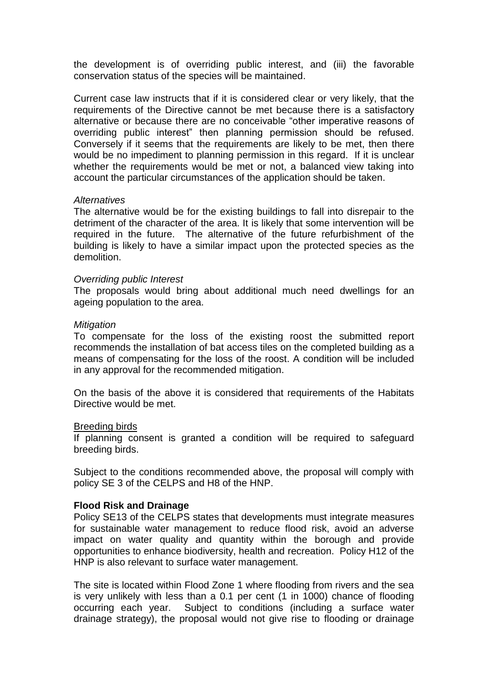the development is of overriding public interest, and (iii) the favorable conservation status of the species will be maintained.

Current case law instructs that if it is considered clear or very likely, that the requirements of the Directive cannot be met because there is a satisfactory alternative or because there are no conceivable "other imperative reasons of overriding public interest" then planning permission should be refused. Conversely if it seems that the requirements are likely to be met, then there would be no impediment to planning permission in this regard. If it is unclear whether the requirements would be met or not, a balanced view taking into account the particular circumstances of the application should be taken.

#### *Alternatives*

The alternative would be for the existing buildings to fall into disrepair to the detriment of the character of the area. It is likely that some intervention will be required in the future. The alternative of the future refurbishment of the building is likely to have a similar impact upon the protected species as the demolition.

#### *Overriding public Interest*

The proposals would bring about additional much need dwellings for an ageing population to the area.

#### *Mitigation*

To compensate for the loss of the existing roost the submitted report recommends the installation of bat access tiles on the completed building as a means of compensating for the loss of the roost. A condition will be included in any approval for the recommended mitigation.

On the basis of the above it is considered that requirements of the Habitats Directive would be met.

#### Breeding birds

If planning consent is granted a condition will be required to safeguard breeding birds.

Subject to the conditions recommended above, the proposal will comply with policy SE 3 of the CELPS and H8 of the HNP.

#### **Flood Risk and Drainage**

Policy SE13 of the CELPS states that developments must integrate measures for sustainable water management to reduce flood risk, avoid an adverse impact on water quality and quantity within the borough and provide opportunities to enhance biodiversity, health and recreation. Policy H12 of the HNP is also relevant to surface water management.

The site is located within Flood Zone 1 where flooding from rivers and the sea is very unlikely with less than a 0.1 per cent (1 in 1000) chance of flooding occurring each year. Subject to conditions (including a surface water drainage strategy), the proposal would not give rise to flooding or drainage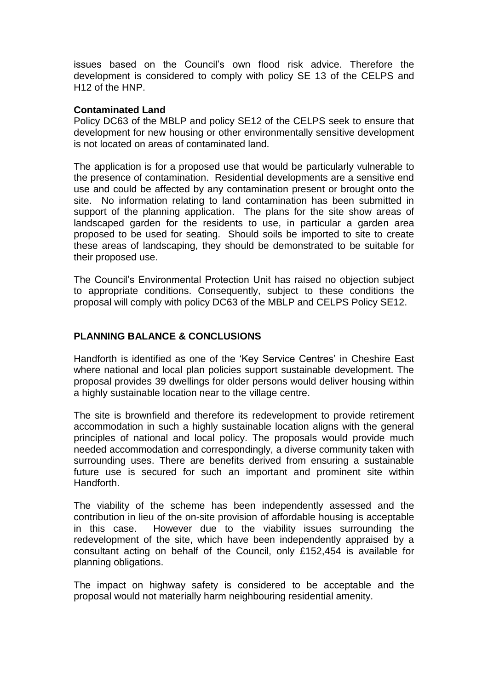issues based on the Council's own flood risk advice. Therefore the development is considered to comply with policy SE 13 of the CELPS and H12 of the HNP.

### **Contaminated Land**

Policy DC63 of the MBLP and policy SE12 of the CELPS seek to ensure that development for new housing or other environmentally sensitive development is not located on areas of contaminated land.

The application is for a proposed use that would be particularly vulnerable to the presence of contamination. Residential developments are a sensitive end use and could be affected by any contamination present or brought onto the site. No information relating to land contamination has been submitted in support of the planning application. The plans for the site show areas of landscaped garden for the residents to use, in particular a garden area proposed to be used for seating. Should soils be imported to site to create these areas of landscaping, they should be demonstrated to be suitable for their proposed use.

The Council's Environmental Protection Unit has raised no objection subject to appropriate conditions. Consequently, subject to these conditions the proposal will comply with policy DC63 of the MBLP and CELPS Policy SE12.

# **PLANNING BALANCE & CONCLUSIONS**

Handforth is identified as one of the 'Key Service Centres' in Cheshire East where national and local plan policies support sustainable development. The proposal provides 39 dwellings for older persons would deliver housing within a highly sustainable location near to the village centre.

The site is brownfield and therefore its redevelopment to provide retirement accommodation in such a highly sustainable location aligns with the general principles of national and local policy. The proposals would provide much needed accommodation and correspondingly, a diverse community taken with surrounding uses. There are benefits derived from ensuring a sustainable future use is secured for such an important and prominent site within Handforth.

The viability of the scheme has been independently assessed and the contribution in lieu of the on-site provision of affordable housing is acceptable in this case. However due to the viability issues surrounding the redevelopment of the site, which have been independently appraised by a consultant acting on behalf of the Council, only £152,454 is available for planning obligations.

The impact on highway safety is considered to be acceptable and the proposal would not materially harm neighbouring residential amenity.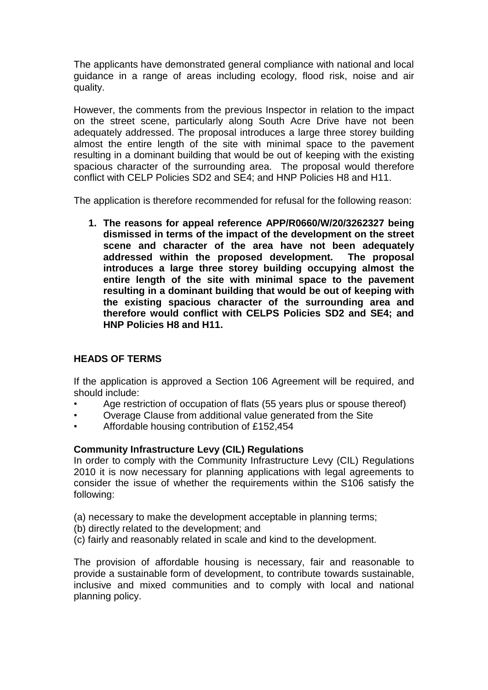The applicants have demonstrated general compliance with national and local guidance in a range of areas including ecology, flood risk, noise and air quality.

However, the comments from the previous Inspector in relation to the impact on the street scene, particularly along South Acre Drive have not been adequately addressed. The proposal introduces a large three storey building almost the entire length of the site with minimal space to the pavement resulting in a dominant building that would be out of keeping with the existing spacious character of the surrounding area. The proposal would therefore conflict with CELP Policies SD2 and SE4; and HNP Policies H8 and H11.

The application is therefore recommended for refusal for the following reason:

**1. The reasons for appeal reference APP/R0660/W/20/3262327 being dismissed in terms of the impact of the development on the street scene and character of the area have not been adequately addressed within the proposed development. The proposal introduces a large three storey building occupying almost the entire length of the site with minimal space to the pavement resulting in a dominant building that would be out of keeping with the existing spacious character of the surrounding area and therefore would conflict with CELPS Policies SD2 and SE4; and HNP Policies H8 and H11.**

# **HEADS OF TERMS**

If the application is approved a Section 106 Agreement will be required, and should include:

- Age restriction of occupation of flats (55 years plus or spouse thereof)
- Overage Clause from additional value generated from the Site
- Affordable housing contribution of £152,454

# **Community Infrastructure Levy (CIL) Regulations**

In order to comply with the Community Infrastructure Levy (CIL) Regulations 2010 it is now necessary for planning applications with legal agreements to consider the issue of whether the requirements within the S106 satisfy the following:

- (a) necessary to make the development acceptable in planning terms;
- (b) directly related to the development; and
- (c) fairly and reasonably related in scale and kind to the development.

The provision of affordable housing is necessary, fair and reasonable to provide a sustainable form of development, to contribute towards sustainable, inclusive and mixed communities and to comply with local and national planning policy.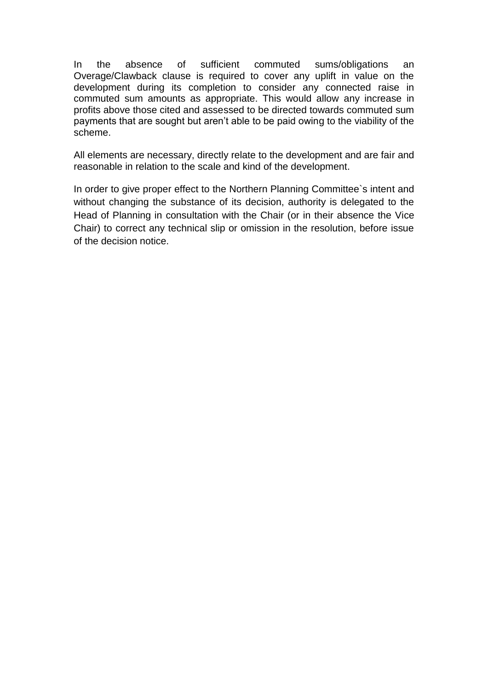In the absence of sufficient commuted sums/obligations an Overage/Clawback clause is required to cover any uplift in value on the development during its completion to consider any connected raise in commuted sum amounts as appropriate. This would allow any increase in profits above those cited and assessed to be directed towards commuted sum payments that are sought but aren't able to be paid owing to the viability of the scheme.

All elements are necessary, directly relate to the development and are fair and reasonable in relation to the scale and kind of the development.

In order to give proper effect to the Northern Planning Committee`s intent and without changing the substance of its decision, authority is delegated to the Head of Planning in consultation with the Chair (or in their absence the Vice Chair) to correct any technical slip or omission in the resolution, before issue of the decision notice.